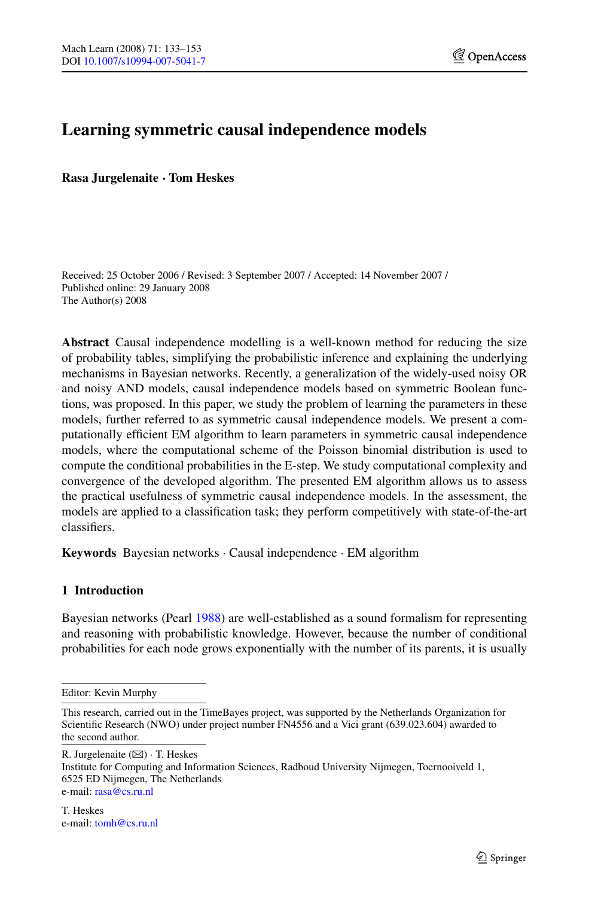# **Learning symmetric causal independence models**

**Rasa Jurgelenaite · Tom Heskes**

Received: 25 October 2006 / Revised: 3 September 2007 / Accepted: 14 November 2007 / Published online: 29 January 2008 The Author(s) 2008

**Abstract** Causal independence modelling is a well-known method for reducing the size of probability tables, simplifying the probabilistic inference and explaining the underlying mechanisms in Bayesian networks. Recently, a generalization of the widely-used noisy OR and noisy AND models, causal independence models based on symmetric Boolean functions, was proposed. In this paper, we study the problem of learning the parameters in these models, further referred to as symmetric causal independence models. We present a computationally efficient EM algorithm to learn parameters in symmetric causal independence models, where the computational scheme of the Poisson binomial distribution is used to compute the conditional probabilities in the E-step. We study computational complexity and convergence of the developed algorithm. The presented EM algorithm allows us to assess the practical usefulness of symmetric causal independence models. In the assessment, the models are applied to a classification task; they perform competitively with state-of-the-art classifiers.

**Keywords** Bayesian networks · Causal independence · EM algorithm

## **1 Introduction**

Bayesian networks (Pearl [1988](#page-20-0)) are well-established as a sound formalism for representing and reasoning with probabilistic knowledge. However, because the number of conditional probabilities for each node grows exponentially with the number of its parents, it is usually

R. Jurgelenaite ( $\boxtimes$ ) · T. Heskes

Institute for Computing and Information Sciences, Radboud University Nijmegen, Toernooiveld 1, 6525 ED Nijmegen, The Netherlands e-mail: [rasa@cs.ru.nl](mailto:rasa@cs.ru.nl)

Editor: Kevin Murphy

This research, carried out in the TimeBayes project, was supported by the Netherlands Organization for Scientific Research (NWO) under project number FN4556 and a Vici grant (639.023.604) awarded to the second author.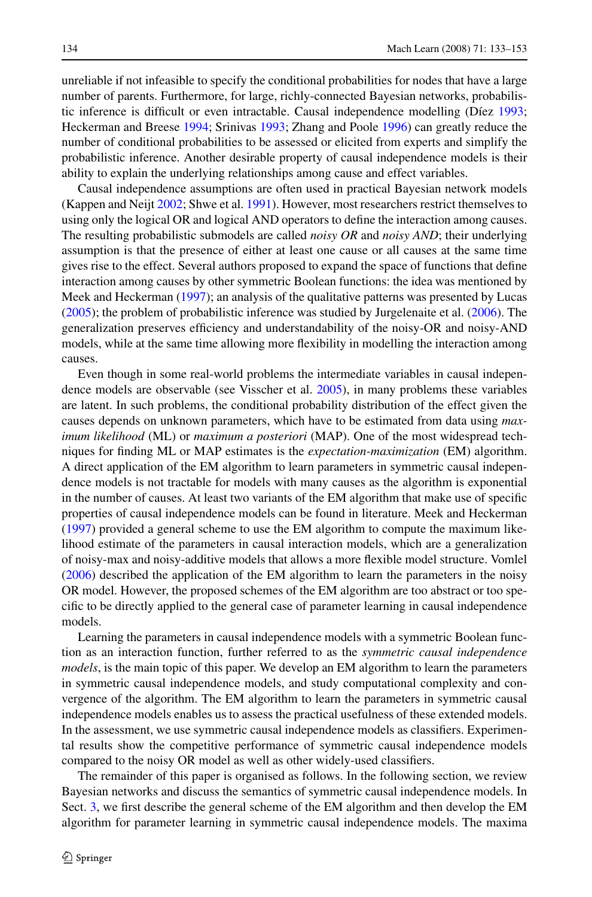unreliable if not infeasible to specify the conditional probabilities for nodes that have a large number of parents. Furthermore, for large, richly-connected Bayesian networks, probabilistic inference is difficult or even intractable. Causal independence modelling (Díez [1993;](#page-19-0) Heckerman and Breese [1994;](#page-19-0) Srinivas [1993;](#page-20-0) Zhang and Poole [1996\)](#page-20-0) can greatly reduce the number of conditional probabilities to be assessed or elicited from experts and simplify the probabilistic inference. Another desirable property of causal independence models is their ability to explain the underlying relationships among cause and effect variables.

Causal independence assumptions are often used in practical Bayesian network models (Kappen and Neijt [2002;](#page-19-0) Shwe et al. [1991\)](#page-20-0). However, most researchers restrict themselves to using only the logical OR and logical AND operators to define the interaction among causes. The resulting probabilistic submodels are called *noisy OR* and *noisy AND*; their underlying assumption is that the presence of either at least one cause or all causes at the same time gives rise to the effect. Several authors proposed to expand the space of functions that define interaction among causes by other symmetric Boolean functions: the idea was mentioned by Meek and Heckerman [\(1997](#page-19-0)); an analysis of the qualitative patterns was presented by Lucas ([2005\)](#page-19-0); the problem of probabilistic inference was studied by Jurgelenaite et al. [\(2006](#page-19-0)). The generalization preserves efficiency and understandability of the noisy-OR and noisy-AND models, while at the same time allowing more flexibility in modelling the interaction among causes.

Even though in some real-world problems the intermediate variables in causal independence models are observable (see Visscher et al. [2005](#page-20-0)), in many problems these variables are latent. In such problems, the conditional probability distribution of the effect given the causes depends on unknown parameters, which have to be estimated from data using *maximum likelihood* (ML) or *maximum a posteriori* (MAP). One of the most widespread techniques for finding ML or MAP estimates is the *expectation-maximization* (EM) algorithm. A direct application of the EM algorithm to learn parameters in symmetric causal independence models is not tractable for models with many causes as the algorithm is exponential in the number of causes. At least two variants of the EM algorithm that make use of specific properties of causal independence models can be found in literature. Meek and Heckerman ([1997\)](#page-19-0) provided a general scheme to use the EM algorithm to compute the maximum likelihood estimate of the parameters in causal interaction models, which are a generalization of noisy-max and noisy-additive models that allows a more flexible model structure. Vomlel ([2006\)](#page-20-0) described the application of the EM algorithm to learn the parameters in the noisy OR model. However, the proposed schemes of the EM algorithm are too abstract or too specific to be directly applied to the general case of parameter learning in causal independence models.

Learning the parameters in causal independence models with a symmetric Boolean function as an interaction function, further referred to as the *symmetric causal independence models*, is the main topic of this paper. We develop an EM algorithm to learn the parameters in symmetric causal independence models, and study computational complexity and convergence of the algorithm. The EM algorithm to learn the parameters in symmetric causal independence models enables us to assess the practical usefulness of these extended models. In the assessment, we use symmetric causal independence models as classifiers. Experimental results show the competitive performance of symmetric causal independence models compared to the noisy OR model as well as other widely-used classifiers.

The remainder of this paper is organised as follows. In the following section, we review Bayesian networks and discuss the semantics of symmetric causal independence models. In Sect. [3,](#page-5-0) we first describe the general scheme of the EM algorithm and then develop the EM algorithm for parameter learning in symmetric causal independence models. The maxima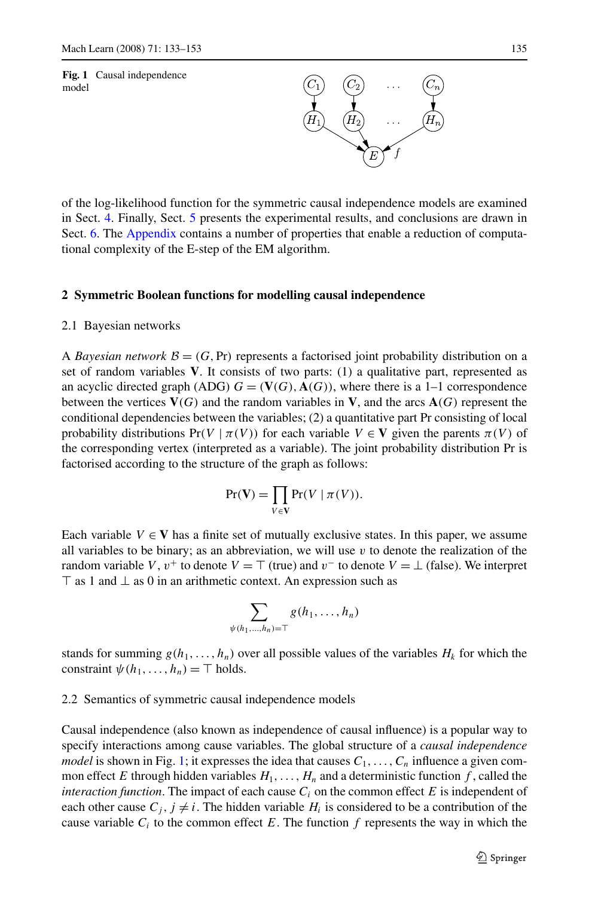

of the log-likelihood function for the symmetric causal independence models are examined in Sect. [4](#page-9-0). Finally, Sect. [5](#page-12-0) presents the experimental results, and conclusions are drawn in Sect. [6.](#page-15-0) The [Appendix](#page-17-0) contains a number of properties that enable a reduction of computational complexity of the E-step of the EM algorithm.

## **2 Symmetric Boolean functions for modelling causal independence**

## 2.1 Bayesian networks

A *Bayesian network*  $\mathcal{B} = (G, Pr)$  represents a factorised joint probability distribution on a set of random variables  $V$ . It consists of two parts:  $(1)$  a qualitative part, represented as an acyclic directed graph (ADG)  $G = (\mathbf{V}(G), \mathbf{A}(G))$ , where there is a 1-1 correspondence between the vertices  $V(G)$  and the random variables in V, and the arcs  $A(G)$  represent the conditional dependencies between the variables; (2) a quantitative part Pr consisting of local probability distributions  $Pr(V | \pi(V))$  for each variable  $V \in V$  given the parents  $\pi(V)$  of the corresponding vertex (interpreted as a variable). The joint probability distribution Pr is factorised according to the structure of the graph as follows:

$$
Pr(\mathbf{V}) = \prod_{V \in \mathbf{V}} Pr(V \mid \pi(V)).
$$

Each variable  $V \in V$  has a finite set of mutually exclusive states. In this paper, we assume all variables to be binary; as an abbreviation, we will use  $v$  to denote the realization of the random variable *V*,  $v^+$  to denote  $V = T$  (true) and  $v^-$  to denote  $V = \bot$  (false). We interpret  $\top$  as 1 and  $\bot$  as 0 in an arithmetic context. An expression such as

$$
\sum_{\psi(h_1,\ldots,h_n)=\top} g(h_1,\ldots,h_n)
$$

stands for summing  $g(h_1, \ldots, h_n)$  over all possible values of the variables  $H_k$  for which the constraint  $\psi(h_1, \ldots, h_n) = \top$  holds.

## 2.2 Semantics of symmetric causal independence models

Causal independence (also known as independence of causal influence) is a popular way to specify interactions among cause variables. The global structure of a *causal independence model* is shown in Fig. 1; it expresses the idea that causes  $C_1, \ldots, C_n$  influence a given common effect *E* through hidden variables  $H_1, \ldots, H_n$  and a deterministic function  $f$ , called the *interaction function*. The impact of each cause  $C_i$  on the common effect  $E$  is independent of each other cause  $C_i$ ,  $j \neq i$ . The hidden variable  $H_i$  is considered to be a contribution of the cause variable  $C_i$  to the common effect  $E$ . The function  $f$  represents the way in which the

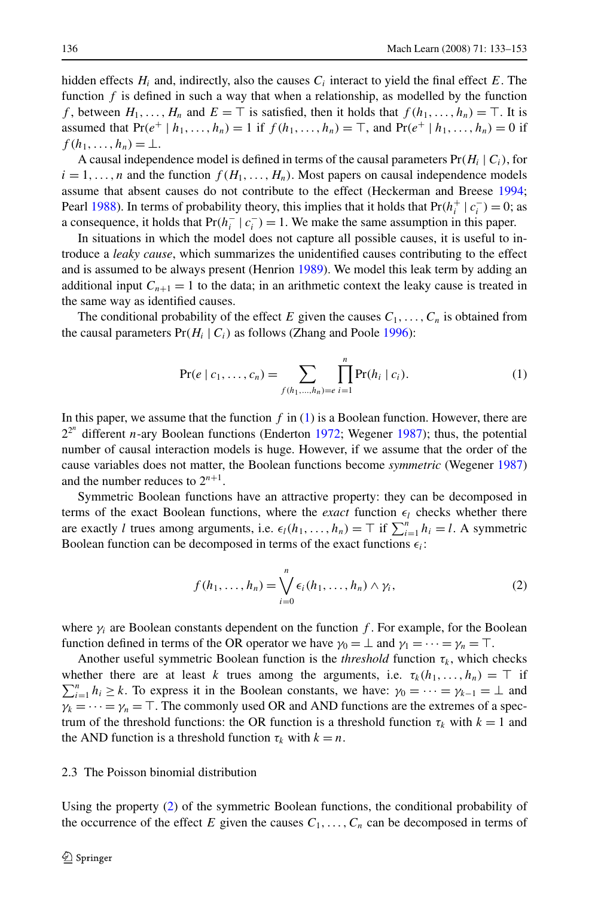hidden effects  $H_i$  and, indirectly, also the causes  $C_i$  interact to yield the final effect  $E$ . The function  $f$  is defined in such a way that when a relationship, as modelled by the function *f*, between  $H_1, \ldots, H_n$  and  $E = \top$  is satisfied, then it holds that  $f(h_1, \ldots, h_n) = \top$ . It is assumed that  $Pr(e^+ | h_1, ..., h_n) = 1$  if  $f(h_1, ..., h_n) = T$ , and  $Pr(e^+ | h_1, ..., h_n) = 0$  if  $f(h_1,\ldots,h_n)=\perp$ .

A causal independence model is defined in terms of the causal parameters  $Pr(H_i | C_i)$ , for  $i = 1, \ldots, n$  and the function  $f(H_1, \ldots, H_n)$ . Most papers on causal independence models assume that absent causes do not contribute to the effect (Heckerman and Breese [1994;](#page-19-0) Pearl [1988\)](#page-20-0). In terms of probability theory, this implies that it holds that  $Pr(h_i^+ | c_i^-) = 0$ ; as a consequence, it holds that  $Pr(h_i^- | c_i^-) = 1$ . We make the same assumption in this paper.

In situations in which the model does not capture all possible causes, it is useful to introduce a *leaky cause*, which summarizes the unidentified causes contributing to the effect and is assumed to be always present (Henrion [1989](#page-19-0)). We model this leak term by adding an additional input  $C_{n+1} = 1$  to the data; in an arithmetic context the leaky cause is treated in the same way as identified causes.

The conditional probability of the effect *E* given the causes  $C_1, \ldots, C_n$  is obtained from the causal parameters  $Pr(H_i | C_i)$  as follows (Zhang and Poole [1996](#page-20-0)):

$$
Pr(e | c_1, ..., c_n) = \sum_{f(h_1, ..., h_n) = e} \prod_{i=1}^n Pr(h_i | c_i).
$$
 (1)

In this paper, we assume that the function *f* in (1) is a Boolean function. However, there are  $2^{2^n}$  different *n*-ary Boolean functions (Enderton [1972;](#page-19-0) Wegener [1987\)](#page-20-0); thus, the potential number of causal interaction models is huge. However, if we assume that the order of the cause variables does not matter, the Boolean functions become *symmetric* (Wegener [1987](#page-20-0)) and the number reduces to  $2^{n+1}$ .

Symmetric Boolean functions have an attractive property: they can be decomposed in terms of the exact Boolean functions, where the *exact* function  $\epsilon_l$  checks whether there are exactly *l* trues among arguments, i.e.  $\epsilon_l(h_1, \ldots, h_n) = \top$  if  $\sum_{i=1}^n h_i = l$ . A symmetric Boolean function can be decomposed in terms of the exact functions  $\epsilon_i$ :

$$
f(h_1,\ldots,h_n) = \bigvee_{i=0}^n \epsilon_i(h_1,\ldots,h_n) \wedge \gamma_i,
$$
 (2)

where  $\gamma_i$  are Boolean constants dependent on the function  $f$ . For example, for the Boolean function defined in terms of the OR operator we have  $\gamma_0 = \perp$  and  $\gamma_1 = \cdots = \gamma_n = \top$ .

Another useful symmetric Boolean function is the *threshold* function  $\tau_k$ , which checks whether there are at least *k* trues among the arguments, i.e.  $\tau_k(h_1, \ldots, h_n) = \top$  if  $\sum_{k=1}^n h_k > k$ . To express it in the Boolean constants, we have:  $\tau_k = -\tau_k$  $\sum_{i=1}^{n} h_i \ge k$ . To express it in the Boolean constants, we have:  $\gamma_0 = \cdots = \gamma_{k-1} = \bot$  and  $\gamma_k = \cdots = \gamma_n = \top$ . The commonly used OR and AND functions are the extremes of a spectrum of the threshold functions: the OR function is a threshold function  $τ_k$  with  $k = 1$  and the AND function is a threshold function  $\tau_k$  with  $k = n$ .

## 2.3 The Poisson binomial distribution

Using the property (2) of the symmetric Boolean functions, the conditional probability of the occurrence of the effect  $E$  given the causes  $C_1, \ldots, C_n$  can be decomposed in terms of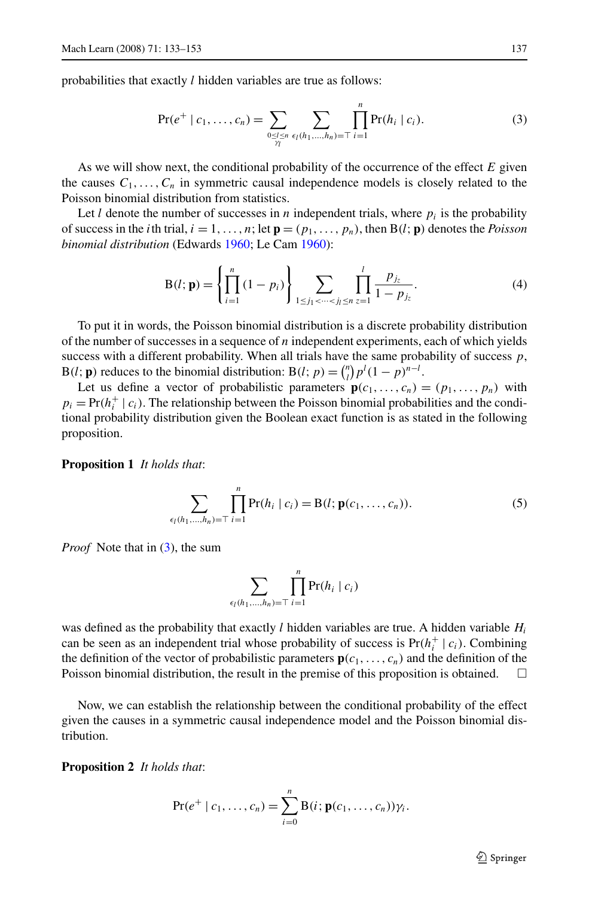<span id="page-4-0"></span>probabilities that exactly *l* hidden variables are true as follows:

$$
Pr(e^+ | c_1, ..., c_n) = \sum_{0 \leq l \leq n \atop \gamma_l} \sum_{\epsilon_l(h_1, ..., h_n) = \top} \prod_{i=1}^n Pr(h_i | c_i).
$$
 (3)

As we will show next, the conditional probability of the occurrence of the effect *E* given the causes  $C_1, \ldots, C_n$  in symmetric causal independence models is closely related to the Poisson binomial distribution from statistics.

Let *l* denote the number of successes in *n* independent trials, where  $p_i$  is the probability of success in the *i*th trial,  $i = 1, \ldots, n$ ; let  $\mathbf{p} = (p_1, \ldots, p_n)$ , then  $B(l; \mathbf{p})$  denotes the *Poisson binomial distribution* (Edwards [1960;](#page-19-0) Le Cam [1960](#page-19-0)):

$$
B(l; \mathbf{p}) = \left\{ \prod_{i=1}^{n} (1 - p_i) \right\} \sum_{1 \le j_1 < \dots < j_l \le n} \prod_{z=1}^{l} \frac{p_{j_z}}{1 - p_{j_z}}.
$$
 (4)

To put it in words, the Poisson binomial distribution is a discrete probability distribution of the number of successes in a sequence of *n* independent experiments, each of which yields success with a different probability. When all trials have the same probability of success *p*, B*(l*; **p**) reduces to the binomial distribution: B*(l*; *p*) =  $\binom{n}{l} p^l (1 - p)^{n-l}$ .

Let us define a vector of probabilistic parameters  $\mathbf{p}(c_1, \ldots, c_n) = (p_1, \ldots, p_n)$  with  $p_i = Pr(h_i^+ | c_i)$ . The relationship between the Poisson binomial probabilities and the conditional probability distribution given the Boolean exact function is as stated in the following proposition.

**Proposition 1** *It holds that*:

$$
\sum_{\epsilon_l(h_1,\dots,h_n)=\top} \prod_{i=1}^n \Pr(h_i \mid c_i) = B(l; \mathbf{p}(c_1,\dots,c_n)).
$$
 (5)

*Proof* Note that in (3), the sum

$$
\sum_{\epsilon_i(h_1,\ldots,h_n)=\top}\prod_{i=1}^n\Pr(h_i\mid c_i)
$$

was defined as the probability that exactly *l* hidden variables are true. A hidden variable *Hi* can be seen as an independent trial whose probability of success is  $Pr(h_i^+ | c_i)$ . Combining the definition of the vector of probabilistic parameters  $\mathbf{p}(c_1,\ldots,c_n)$  and the definition of the Poisson binomial distribution, the result in the premise of this proposition is obtained.  $\Box$ 

Now, we can establish the relationship between the conditional probability of the effect given the causes in a symmetric causal independence model and the Poisson binomial distribution.

**Proposition 2** *It holds that*:

$$
Pr(e^{+} | c_1, ..., c_n) = \sum_{i=0}^{n} B(i; \mathbf{p}(c_1, ..., c_n)) \gamma_i.
$$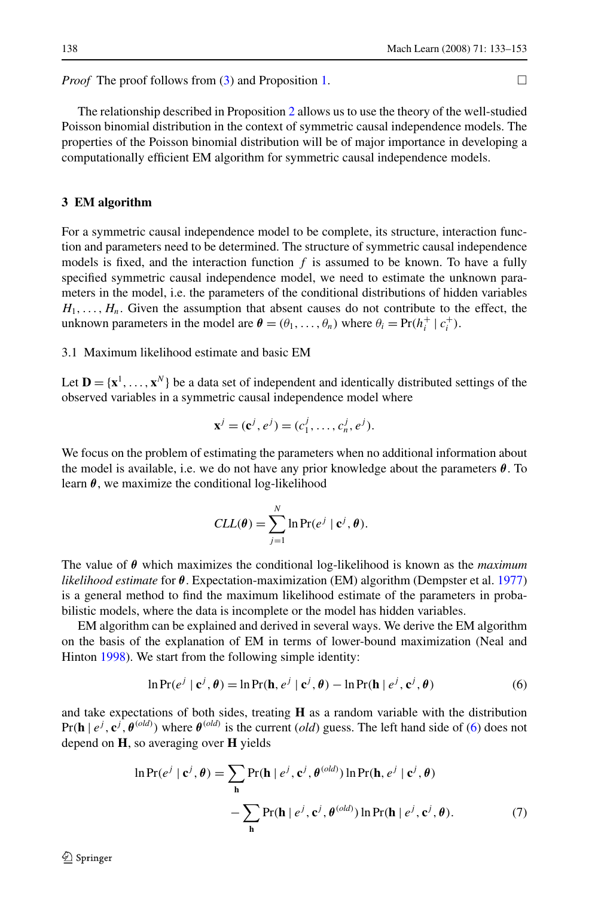<span id="page-5-0"></span>*Proof* The proof follows from [\(3\)](#page-4-0) and Proposition [1](#page-4-0).  $\Box$ 

The relationship described in Proposition [2](#page-4-0) allows us to use the theory of the well-studied Poisson binomial distribution in the context of symmetric causal independence models. The properties of the Poisson binomial distribution will be of major importance in developing a computationally efficient EM algorithm for symmetric causal independence models.

### **3 EM algorithm**

For a symmetric causal independence model to be complete, its structure, interaction function and parameters need to be determined. The structure of symmetric causal independence models is fixed, and the interaction function *f* is assumed to be known. To have a fully specified symmetric causal independence model, we need to estimate the unknown parameters in the model, i.e. the parameters of the conditional distributions of hidden variables  $H_1, \ldots, H_n$ . Given the assumption that absent causes do not contribute to the effect, the unknown parameters in the model are  $\theta = (\theta_1, ..., \theta_n)$  where  $\theta_i = \Pr(h_i^+ | c_i^+)$ .

3.1 Maximum likelihood estimate and basic EM

Let  $\mathbf{D} = \{\mathbf{x}^1, \dots, \mathbf{x}^N\}$  be a data set of independent and identically distributed settings of the observed variables in a symmetric causal independence model where

$$
\mathbf{x}^{j} = (\mathbf{c}^{j}, e^{j}) = (c_1^{j}, \dots, c_n^{j}, e^{j}).
$$

We focus on the problem of estimating the parameters when no additional information about the model is available, i.e. we do not have any prior knowledge about the parameters *θ* . To learn  $\theta$ , we maximize the conditional log-likelihood

$$
CLL(\boldsymbol{\theta}) = \sum_{j=1}^{N} \ln \Pr(e^{j} | \mathbf{c}^{j}, \boldsymbol{\theta}).
$$

The value of *θ* which maximizes the conditional log-likelihood is known as the *maximum likelihood estimate* for *θ*. Expectation-maximization (EM) algorithm (Dempster et al. [1977](#page-19-0)) is a general method to find the maximum likelihood estimate of the parameters in probabilistic models, where the data is incomplete or the model has hidden variables.

EM algorithm can be explained and derived in several ways. We derive the EM algorithm on the basis of the explanation of EM in terms of lower-bound maximization (Neal and Hinton [1998](#page-19-0)). We start from the following simple identity:

$$
\ln \Pr(e^j \mid \mathbf{c}^j, \boldsymbol{\theta}) = \ln \Pr(\mathbf{h}, e^j \mid \mathbf{c}^j, \boldsymbol{\theta}) - \ln \Pr(\mathbf{h} \mid e^j, \mathbf{c}^j, \boldsymbol{\theta})
$$
(6)

and take expectations of both sides, treating **H** as a random variable with the distribution  $Pr(h | e^j, c^j, \theta^{(old)})$  where  $\theta^{(old)}$  is the current (*old*) guess. The left hand side of (6) does not depend on **H**, so averaging over **H** yields

$$
\ln \Pr(e^j \mid \mathbf{c}^j, \boldsymbol{\theta}) = \sum_{\mathbf{h}} \Pr(\mathbf{h} \mid e^j, \mathbf{c}^j, \boldsymbol{\theta}^{(old)}) \ln \Pr(\mathbf{h}, e^j \mid \mathbf{c}^j, \boldsymbol{\theta})
$$

$$
- \sum_{\mathbf{h}} \Pr(\mathbf{h} \mid e^j, \mathbf{c}^j, \boldsymbol{\theta}^{(old)}) \ln \Pr(\mathbf{h} \mid e^j, \mathbf{c}^j, \boldsymbol{\theta}). \tag{7}
$$

 $\mathcal{D}$  Springer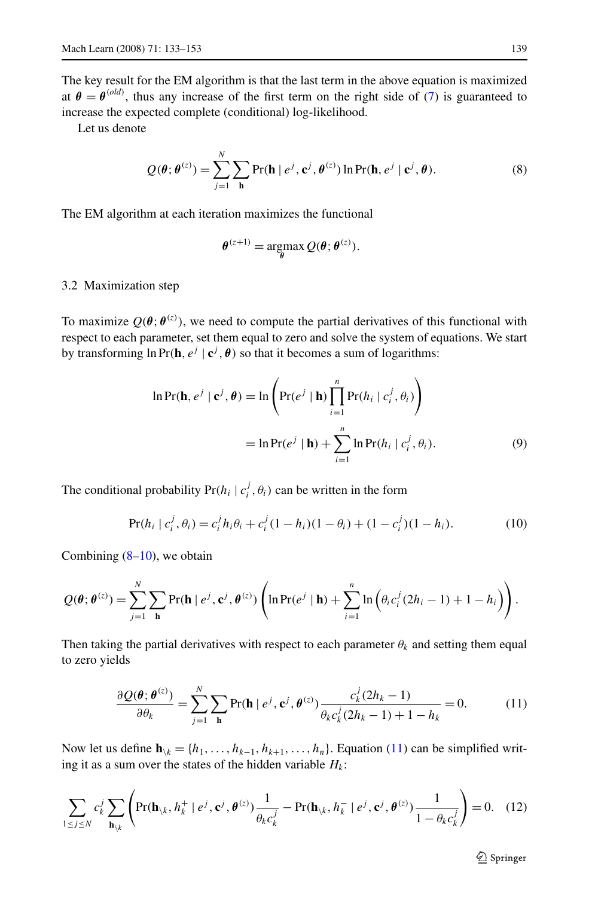<span id="page-6-0"></span>The key result for the EM algorithm is that the last term in the above equation is maximized at  $\theta = \theta^{(old)}$ , thus any increase of the first term on the right side of ([7\)](#page-5-0) is guaranteed to increase the expected complete (conditional) log-likelihood.

Let us denote

$$
Q(\boldsymbol{\theta};\boldsymbol{\theta}^{(z)}) = \sum_{j=1}^{N} \sum_{\mathbf{h}} \Pr(\mathbf{h} \mid e^{j}, \mathbf{c}^{j}, \boldsymbol{\theta}^{(z)}) \ln \Pr(\mathbf{h}, e^{j} \mid \mathbf{c}^{j}, \boldsymbol{\theta}).
$$
 (8)

The EM algorithm at each iteration maximizes the functional

$$
\boldsymbol{\theta}^{(z+1)} = \operatorname*{argmax}_{\boldsymbol{\theta}} Q(\boldsymbol{\theta}; \boldsymbol{\theta}^{(z)}).
$$

## 3.2 Maximization step

To maximize  $Q(\theta; \theta^{(z)})$ , we need to compute the partial derivatives of this functional with respect to each parameter, set them equal to zero and solve the system of equations. We start by transforming  $\ln \Pr(\mathbf{h}, e^j | \mathbf{c}^j, \theta)$  so that it becomes a sum of logarithms:

$$
\ln \Pr(\mathbf{h}, e^j \mid \mathbf{c}^j, \boldsymbol{\theta}) = \ln \left( \Pr(e^j \mid \mathbf{h}) \prod_{i=1}^n \Pr(h_i \mid c_i^j, \theta_i) \right)
$$
  
= 
$$
\ln \Pr(e^j \mid \mathbf{h}) + \sum_{i=1}^n \ln \Pr(h_i \mid c_i^j, \theta_i).
$$
 (9)

The conditional probability  $Pr(h_i | c_i^j, \theta_i)$  can be written in the form

$$
Pr(h_i \mid c_i^j, \theta_i) = c_i^j h_i \theta_i + c_i^j (1 - h_i)(1 - \theta_i) + (1 - c_i^j)(1 - h_i). \tag{10}
$$

Combining  $(8-10)$ , we obtain

$$
Q(\boldsymbol{\theta};\boldsymbol{\theta}^{(z)})=\sum_{j=1}^N\sum_{\mathbf{h}}\Pr(\mathbf{h} \mid e^j,\mathbf{c}^j,\boldsymbol{\theta}^{(z)})\left(\ln \Pr(e^j \mid \mathbf{h})+\sum_{i=1}^n \ln \left(\theta_i c_i^j (2h_i-1)+1-h_i\right)\right).
$$

Then taking the partial derivatives with respect to each parameter  $\theta_k$  and setting them equal to zero yields

$$
\frac{\partial \mathcal{Q}(\boldsymbol{\theta}; \boldsymbol{\theta}^{(z)})}{\partial \theta_k} = \sum_{j=1}^N \sum_{\mathbf{h}} \Pr(\mathbf{h} \mid e^j, \mathbf{c}^j, \boldsymbol{\theta}^{(z)}) \frac{c_k^j (2h_k - 1)}{\theta_k c_k^j (2h_k - 1) + 1 - h_k} = 0.
$$
 (11)

Now let us define  $\mathbf{h}_{\setminus k} = \{h_1, \ldots, h_{k-1}, h_{k+1}, \ldots, h_n\}$ . Equation (11) can be simplified writing it as a sum over the states of the hidden variable  $H_k$ :

$$
\sum_{1 \leq j \leq N} c_k^j \sum_{\mathbf{h}_{\setminus k}} \left( \Pr(\mathbf{h}_{\setminus k}, h_k^+ \mid e^j, \mathbf{c}^j, \pmb{\theta}^{(z)}) \frac{1}{\theta_k c_k^j} - \Pr(\mathbf{h}_{\setminus k}, h_k^- \mid e^j, \mathbf{c}^j, \pmb{\theta}^{(z)}) \frac{1}{1 - \theta_k c_k^j} \right) = 0. \quad (12)
$$

 $\mathcal{D}$  Springer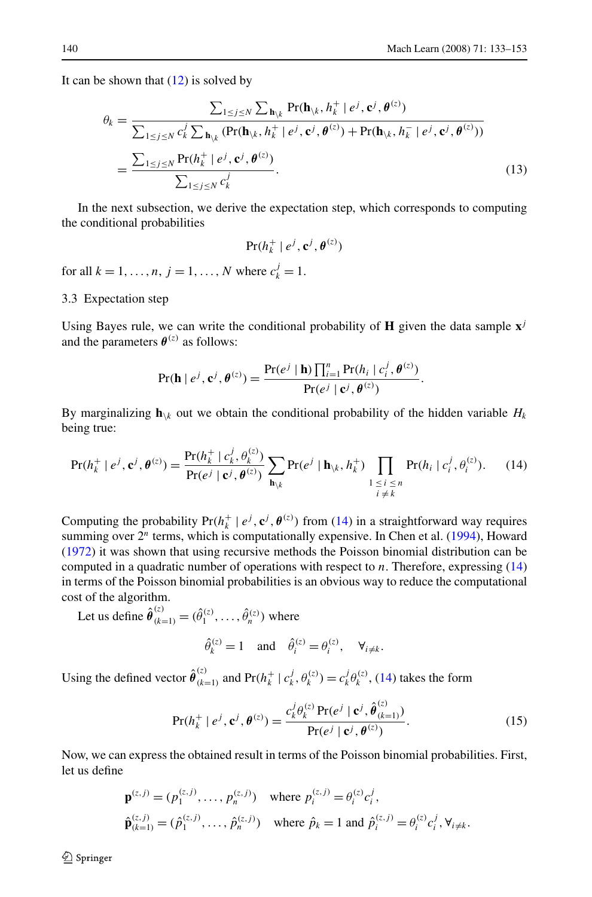<span id="page-7-0"></span>It can be shown that  $(12)$  is solved by

$$
\theta_{k} = \frac{\sum_{1 \leq j \leq N} \sum_{\mathbf{h}_{\setminus k}} \Pr(\mathbf{h}_{\setminus k}, h_{k}^{+} \mid e^{j}, \mathbf{c}^{j}, \boldsymbol{\theta}^{(z)})}{\sum_{1 \leq j \leq N} c_{k}^{j} \sum_{\mathbf{h}_{\setminus k}} (\Pr(\mathbf{h}_{\setminus k}, h_{k}^{+} \mid e^{j}, \mathbf{c}^{j}, \boldsymbol{\theta}^{(z)}) + \Pr(\mathbf{h}_{\setminus k}, h_{k}^{-} \mid e^{j}, \mathbf{c}^{j}, \boldsymbol{\theta}^{(z)}))}
$$
\n
$$
= \frac{\sum_{1 \leq j \leq N} \Pr(h_{k}^{+} \mid e^{j}, \mathbf{c}^{j}, \boldsymbol{\theta}^{(z)})}{\sum_{1 \leq j \leq N} c_{k}^{j}}.
$$
\n(13)

In the next subsection, we derive the expectation step, which corresponds to computing the conditional probabilities

$$
\Pr(h_k^+ \mid e^j, \mathbf{c}^j, \boldsymbol{\theta}^{(z)})
$$

for all  $k = 1, ..., n$ ,  $j = 1, ..., N$  where  $c_k^j = 1$ .

3.3 Expectation step

Using Bayes rule, we can write the conditional probability of **H** given the data sample  $\mathbf{x}^j$ and the parameters  $\boldsymbol{\theta}^{(z)}$  as follows:

$$
\Pr(\mathbf{h} \mid e^j, \mathbf{c}^j, \pmb{\theta}^{(z)}) = \frac{\Pr(e^j \mid \mathbf{h}) \prod_{i=1}^n \Pr(h_i \mid c_i^j, \pmb{\theta}^{(z)})}{\Pr(e^j \mid \mathbf{c}^j, \pmb{\theta}^{(z)})}.
$$

By marginalizing  $\mathbf{h}_{\setminus k}$  out we obtain the conditional probability of the hidden variable  $H_k$ being true:

$$
\Pr(h_k^+ \mid e^j, \mathbf{c}^j, \boldsymbol{\theta}^{(z)}) = \frac{\Pr(h_k^+ \mid c_k^j, \theta_k^{(z)})}{\Pr(e^j \mid \mathbf{c}^j, \boldsymbol{\theta}^{(z)})} \sum_{\mathbf{h}_{\setminus k}} \Pr(e^j \mid \mathbf{h}_{\setminus k}, h_k^+) \prod_{\substack{1 \le i \le n \\ i \ne k}} \Pr(h_i \mid c_i^j, \theta_i^{(z)}). \tag{14}
$$

Computing the probability  $Pr(h_k^+ | e^j, \mathbf{c}^j, \boldsymbol{\theta}^{(z)})$  from (14) in a straightforward way requires summing over  $2^n$  terms, which is computationally expensive. In Chen et al. ([1994\)](#page-19-0), Howard ([1972\)](#page-19-0) it was shown that using recursive methods the Poisson binomial distribution can be computed in a quadratic number of operations with respect to *n*. Therefore, expressing (14) in terms of the Poisson binomial probabilities is an obvious way to reduce the computational cost of the algorithm.

Let us define  $\hat{\boldsymbol{\theta}}_{(k=1)}^{(z)} = (\hat{\theta}_1^{(z)}, \dots, \hat{\theta}_n^{(z)})$  where

$$
\hat{\theta}_{k}^{(z)} = 1 \quad \text{and} \quad \hat{\theta}_{i}^{(z)} = \theta_{i}^{(z)}, \quad \forall_{i \neq k}.
$$

Using the defined vector  $\hat{\theta}_{(k=1)}^{(z)}$  and  $Pr(h_k^+ | c_k^j, \theta_k^{(z)}) = c_k^j \theta_k^{(z)}$ , (14) takes the form

$$
\Pr(h_k^+ \mid e^j, \mathbf{c}^j, \boldsymbol{\theta}^{(z)}) = \frac{c_k^j \theta_k^{(z)} \Pr(e^j \mid \mathbf{c}^j, \hat{\boldsymbol{\theta}}_{(k=1)}^{(z)})}{\Pr(e^j \mid \mathbf{c}^j, \boldsymbol{\theta}^{(z)})}.
$$
(15)

Now, we can express the obtained result in terms of the Poisson binomial probabilities. First, let us define

$$
\mathbf{p}^{(z,j)} = (p_1^{(z,j)}, \dots, p_n^{(z,j)}) \text{ where } p_i^{(z,j)} = \theta_i^{(z)} c_i^j,
$$
  
\n
$$
\hat{\mathbf{p}}_{(k=1)}^{(z,j)} = (\hat{p}_1^{(z,j)}, \dots, \hat{p}_n^{(z,j)}) \text{ where } \hat{p}_k = 1 \text{ and } \hat{p}_i^{(z,j)} = \theta_i^{(z)} c_i^j, \forall_{i \neq k}.
$$

 $\mathcal{D}$  Springer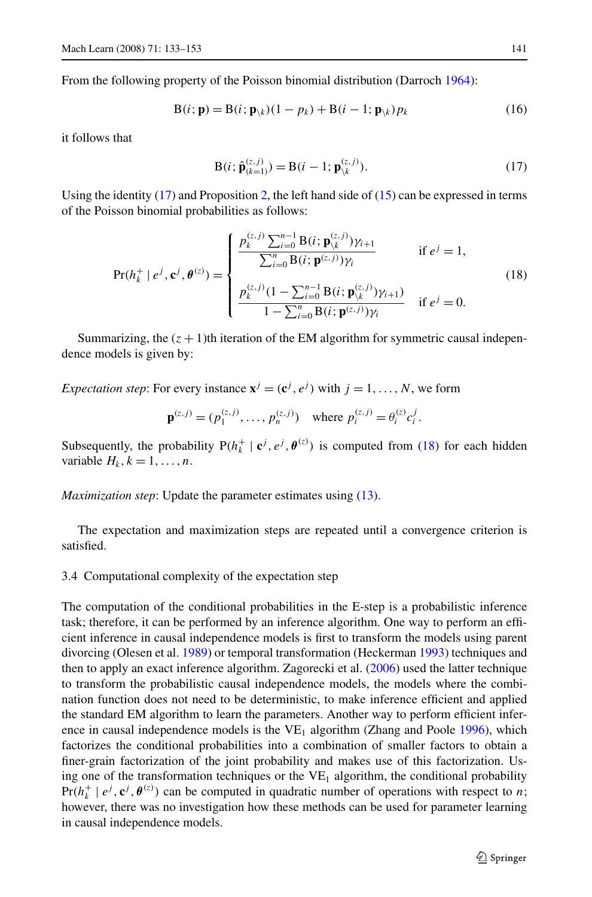<span id="page-8-0"></span>From the following property of the Poisson binomial distribution (Darroch [1964](#page-19-0)):

$$
\mathbf{B}(i; \mathbf{p}) = \mathbf{B}(i; \mathbf{p}_{\backslash k})(1 - p_k) + \mathbf{B}(i - 1; \mathbf{p}_{\backslash k})p_k
$$
\n(16)

it follows that

$$
B(i; \hat{p}_{(k=1)}^{(z,j)}) = B(i-1; p_{\backslash k}^{(z,j)}).
$$
 (17)

Using the identity  $(17)$  and Proposition [2,](#page-4-0) the left hand side of  $(15)$  can be expressed in terms of the Poisson binomial probabilities as follows:

$$
\Pr(h_k^+ \mid e^j, \mathbf{c}^j, \theta^{(z)}) = \begin{cases} \frac{p_k^{(z,j)} \sum_{i=0}^{n-1} \mathbf{B}(i; \mathbf{p}_{\backslash k}^{(z,j)}) \gamma_{i+1}}{\sum_{i=0}^n \mathbf{B}(i; \mathbf{p}^{(z,j)}) \gamma_i} & \text{if } e^j = 1, \\ \frac{p_k^{(z,j)} (1 - \sum_{i=0}^{n-1} \mathbf{B}(i; \mathbf{p}_{\backslash k}^{(z,j)}) \gamma_{i+1})}{1 - \sum_{i=0}^n \mathbf{B}(i; \mathbf{p}^{(z,j)}) \gamma_i} & \text{if } e^j = 0. \end{cases}
$$
(18)

Summarizing, the  $(z + 1)$ th iteration of the EM algorithm for symmetric causal independence models is given by:

*Expectation step*: For every instance  $\mathbf{x}^{j} = (\mathbf{c}^{j}, e^{j})$  with  $j = 1, ..., N$ , we form

$$
\mathbf{p}^{(z,j)} = (p_1^{(z,j)}, \dots, p_n^{(z,j)}) \quad \text{where } p_i^{(z,j)} = \theta_i^{(z)} c_i^j.
$$

Subsequently, the probability  $P(h_k^+ | c^j, e^j, \theta^{(z)})$  is computed from (18) for each hidden variable  $H_k$ ,  $k = 1, \ldots, n$ .

*Maximization step*: Update the parameter estimates using ([13](#page-7-0)).

The expectation and maximization steps are repeated until a convergence criterion is satisfied.

## 3.4 Computational complexity of the expectation step

The computation of the conditional probabilities in the E-step is a probabilistic inference task; therefore, it can be performed by an inference algorithm. One way to perform an efficient inference in causal independence models is first to transform the models using parent divorcing (Olesen et al. [1989](#page-19-0)) or temporal transformation (Heckerman [1993](#page-19-0)) techniques and then to apply an exact inference algorithm. Zagorecki et al. ([2006\)](#page-20-0) used the latter technique to transform the probabilistic causal independence models, the models where the combination function does not need to be deterministic, to make inference efficient and applied the standard EM algorithm to learn the parameters. Another way to perform efficient inference in causal independence models is the  $VE<sub>1</sub>$  algorithm (Zhang and Poole [1996](#page-20-0)), which factorizes the conditional probabilities into a combination of smaller factors to obtain a finer-grain factorization of the joint probability and makes use of this factorization. Using one of the transformation techniques or the  $VE<sub>1</sub>$  algorithm, the conditional probability  $Pr(h_k^+ \mid e^j, \mathbf{c}^j, \theta^{(z)})$  can be computed in quadratic number of operations with respect to *n*; however, there was no investigation how these methods can be used for parameter learning in causal independence models.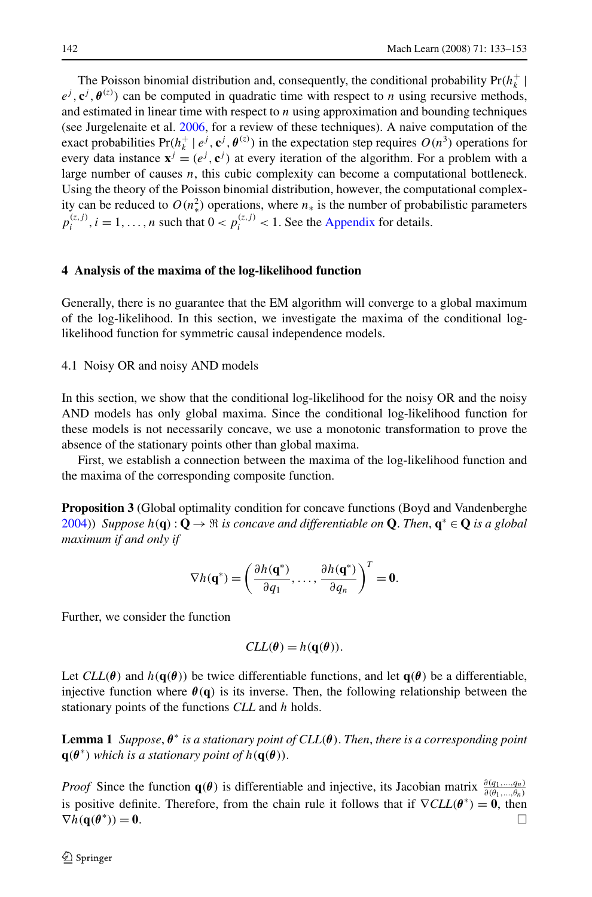<span id="page-9-0"></span>The Poisson binomial distribution and, consequently, the conditional probability  $Pr(h_k^+ | h_k)$  $e^{j}$ ,  $\mathbf{c}^{j}$ ,  $\mathbf{\theta}^{(z)}$ ) can be computed in quadratic time with respect to *n* using recursive methods, and estimated in linear time with respect to *n* using approximation and bounding techniques (see Jurgelenaite et al. [2006](#page-19-0), for a review of these techniques). A naive computation of the exact probabilities  $Pr(h_k^+ | e^j, c^j, \theta^{(z)})$  in the expectation step requires  $O(n^3)$  operations for every data instance  $\mathbf{x}^j = (e^j, \mathbf{c}^j)$  at every iteration of the algorithm. For a problem with a large number of causes *n*, this cubic complexity can become a computational bottleneck. Using the theory of the Poisson binomial distribution, however, the computational complexity can be reduced to  $O(n<sub>*</sub><sup>2</sup>)$  operations, where  $n<sub>*</sub>$  is the number of probabilistic parameters  $p_i^{(z,j)}$ ,  $i = 1, ..., n$  such that  $0 < p_i^{(z,j)} < 1$ . See the [Appendix](#page-17-0) for details.

## **4 Analysis of the maxima of the log-likelihood function**

Generally, there is no guarantee that the EM algorithm will converge to a global maximum of the log-likelihood. In this section, we investigate the maxima of the conditional loglikelihood function for symmetric causal independence models.

4.1 Noisy OR and noisy AND models

In this section, we show that the conditional log-likelihood for the noisy OR and the noisy AND models has only global maxima. Since the conditional log-likelihood function for these models is not necessarily concave, we use a monotonic transformation to prove the absence of the stationary points other than global maxima.

First, we establish a connection between the maxima of the log-likelihood function and the maxima of the corresponding composite function.

**Proposition 3** (Global optimality condition for concave functions (Boyd and Vandenberghe [2004\)](#page-19-0)) *Suppose*  $h(\mathbf{q}) : \mathbf{Q} \to \mathbb{R}$  *is concave and differentiable on*  $\mathbf{Q}$ . *Then*,  $\mathbf{q}^* \in \mathbf{Q}$  *is a global maximum if and only if*

$$
\nabla h(\mathbf{q}^*) = \left(\frac{\partial h(\mathbf{q}^*)}{\partial q_1}, \dots, \frac{\partial h(\mathbf{q}^*)}{\partial q_n}\right)^T = \mathbf{0}.
$$

Further, we consider the function

$$
CLL(\theta) = h(q(\theta)).
$$

Let  $CLL(\theta)$  and  $h(\mathbf{q}(\theta))$  be twice differentiable functions, and let  $\mathbf{q}(\theta)$  be a differentiable, injective function where  $\theta(\mathbf{q})$  is its inverse. Then, the following relationship between the stationary points of the functions *CLL* and *h* holds.

**Lemma 1** *Suppose*,  $\theta^*$  *is a stationary point of CLL* $(\theta)$ *. Then, there is a corresponding point*  $q(\theta^*)$  which is a stationary point of  $h(q(\theta))$ .

*Proof* Since the function **q**( $\theta$ ) is differentiable and injective, its Jacobian matrix  $\frac{\partial(q_1,...,q_n)}{\partial(\theta_1,...,\theta_n)}$ is positive definite. Therefore, from the chain rule it follows that if  $\nabla CLL(\theta^*) = \mathbf{0}$ , then  $\nabla h(\mathbf{q}(\boldsymbol{\theta}^*)) = \mathbf{0}.$  $() = 0.$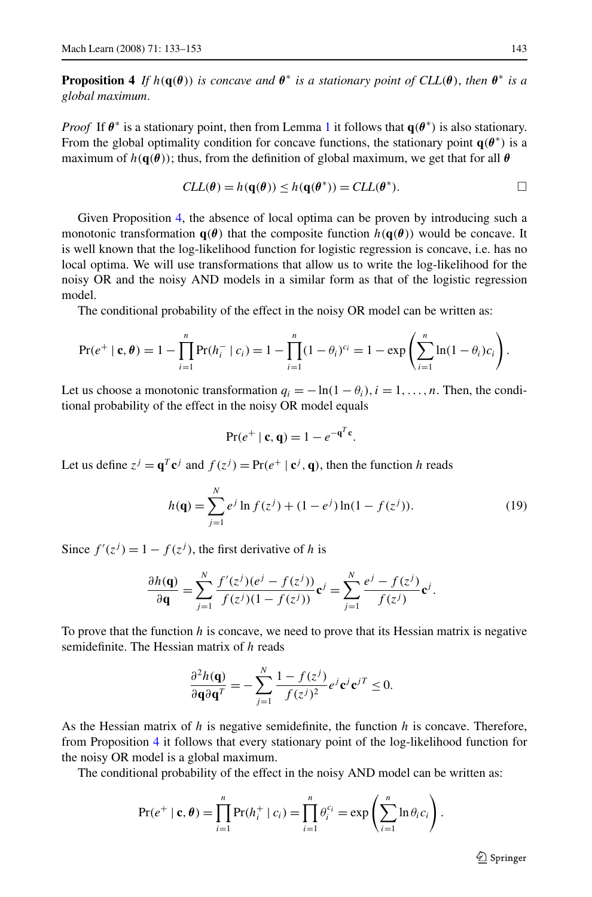<span id="page-10-0"></span>**Proposition 4** *If*  $h(\mathbf{q}(\theta))$  *is concave and*  $\theta^*$  *is a stationary point of CLL* $(\theta)$ *, then*  $\theta^*$  *is a global maximum*.

*Proof* If  $\theta^*$  is a stationary point, then from Lemma [1](#page-9-0) it follows that  $\mathbf{q}(\theta^*)$  is also stationary. From the global optimality condition for concave functions, the stationary point  $q(\theta^*)$  is a maximum of  $h(\mathbf{q}(\theta))$ ; thus, from the definition of global maximum, we get that for all  $\theta$ 

$$
CLL(\theta) = h(\mathbf{q}(\theta)) \le h(\mathbf{q}(\theta^*)) = CLL(\theta^*).
$$

Given Proposition 4, the absence of local optima can be proven by introducing such a monotonic transformation  $\mathbf{q}(\theta)$  that the composite function  $h(\mathbf{q}(\theta))$  would be concave. It is well known that the log-likelihood function for logistic regression is concave, i.e. has no local optima. We will use transformations that allow us to write the log-likelihood for the noisy OR and the noisy AND models in a similar form as that of the logistic regression model.

The conditional probability of the effect in the noisy OR model can be written as:

$$
Pr(e^+ | \mathbf{c}, \theta) = 1 - \prod_{i=1}^n Pr(h_i^- | c_i) = 1 - \prod_{i=1}^n (1 - \theta_i)^{c_i} = 1 - \exp\left(\sum_{i=1}^n \ln(1 - \theta_i)c_i\right).
$$

Let us choose a monotonic transformation  $q_i = -\ln(1 - \theta_i)$ ,  $i = 1, \ldots, n$ . Then, the conditional probability of the effect in the noisy OR model equals

$$
Pr(e^+ | \mathbf{c}, \mathbf{q}) = 1 - e^{-\mathbf{q}^T \mathbf{c}}.
$$

Let us define  $z^j = \mathbf{q}^T \mathbf{c}^j$  and  $f(z^j) = Pr(e^+ | \mathbf{c}^j, \mathbf{q})$ , then the function *h* reads

$$
h(\mathbf{q}) = \sum_{j=1}^{N} e^{j} \ln f(z^{j}) + (1 - e^{j}) \ln(1 - f(z^{j})).
$$
 (19)

Since  $f'(z^j) = 1 - f(z^j)$ , the first derivative of *h* is

$$
\frac{\partial h(\mathbf{q})}{\partial \mathbf{q}} = \sum_{j=1}^{N} \frac{f'(z^j)(e^j - f(z^j))}{f(z^j)(1 - f(z^j))} \mathbf{c}^j = \sum_{j=1}^{N} \frac{e^j - f(z^j)}{f(z^j)} \mathbf{c}^j.
$$

To prove that the function *h* is concave, we need to prove that its Hessian matrix is negative semidefinite. The Hessian matrix of *h* reads

$$
\frac{\partial^2 h(\mathbf{q})}{\partial \mathbf{q}\partial \mathbf{q}^T} = -\sum_{j=1}^N \frac{1 - f(z^j)}{f(z^j)^2} e^j \mathbf{c}^j \mathbf{r}^T \le 0.
$$

As the Hessian matrix of *h* is negative semidefinite, the function *h* is concave. Therefore, from Proposition 4 it follows that every stationary point of the log-likelihood function for the noisy OR model is a global maximum.

The conditional probability of the effect in the noisy AND model can be written as:

$$
Pr(e^+ | \mathbf{c}, \boldsymbol{\theta}) = \prod_{i=1}^n Pr(h_i^+ | c_i) = \prod_{i=1}^n \theta_i^{c_i} = \exp\left(\sum_{i=1}^n \ln \theta_i c_i\right).
$$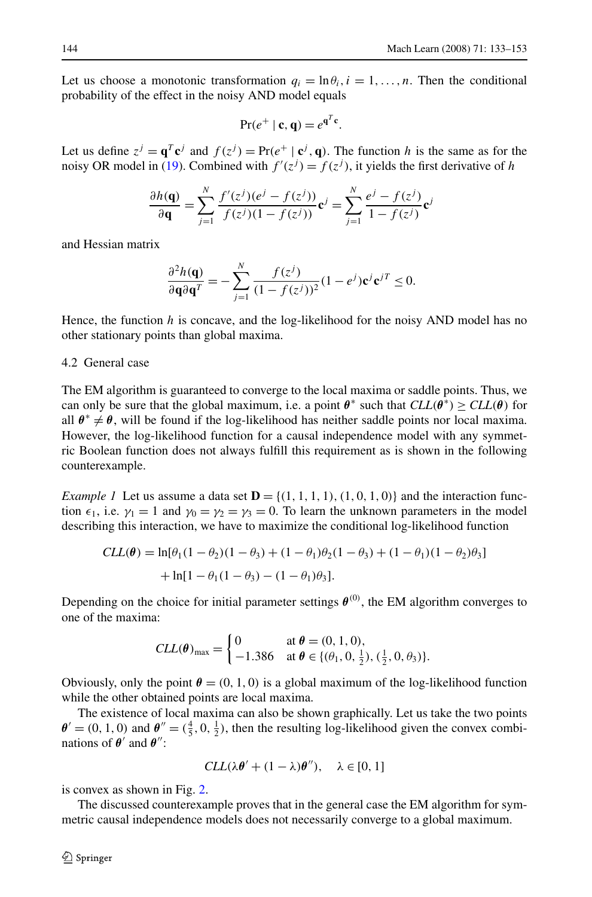<span id="page-11-0"></span>Let us choose a monotonic transformation  $q_i = \ln \theta_i$ ,  $i = 1, \ldots, n$ . Then the conditional probability of the effect in the noisy AND model equals

$$
Pr(e^+ | \mathbf{c}, \mathbf{q}) = e^{\mathbf{q}^T \mathbf{c}}.
$$

Let us define  $z^j = q^T c^j$  and  $f(z^j) = Pr(e^+ | c^j, q)$ . The function *h* is the same as for the noisy OR model in [\(19\)](#page-10-0). Combined with  $f'(z^j) = f(z^j)$ , it yields the first derivative of *h* 

$$
\frac{\partial h(\mathbf{q})}{\partial \mathbf{q}} = \sum_{j=1}^{N} \frac{f'(z^j)(e^j - f(z^j))}{f(z^j)(1 - f(z^j))} \mathbf{c}^j = \sum_{j=1}^{N} \frac{e^j - f(z^j)}{1 - f(z^j)} \mathbf{c}^j
$$

and Hessian matrix

$$
\frac{\partial^2 h(\mathbf{q})}{\partial \mathbf{q} \partial \mathbf{q}^T} = -\sum_{j=1}^N \frac{f(z^j)}{(1 - f(z^j))^2} (1 - e^j) \mathbf{c}^j \mathbf{c}^{jT} \le 0.
$$

Hence, the function *h* is concave, and the log-likelihood for the noisy AND model has no other stationary points than global maxima.

## 4.2 General case

The EM algorithm is guaranteed to converge to the local maxima or saddle points. Thus, we can only be sure that the global maximum, i.e. a point  $\theta^*$  such that  $CLL(\theta^*) \geq CLL(\theta)$  for all  $\theta^* \neq \theta$ , will be found if the log-likelihood has neither saddle points nor local maxima. However, the log-likelihood function for a causal independence model with any symmetric Boolean function does not always fulfill this requirement as is shown in the following counterexample.

*Example 1* Let us assume a data set  $\mathbf{D} = \{(1, 1, 1, 1), (1, 0, 1, 0)\}$  and the interaction function  $\epsilon_1$ , i.e.  $\gamma_1 = 1$  and  $\gamma_0 = \gamma_2 = \gamma_3 = 0$ . To learn the unknown parameters in the model describing this interaction, we have to maximize the conditional log-likelihood function

$$
CLL(\theta) = \ln[\theta_1(1 - \theta_2)(1 - \theta_3) + (1 - \theta_1)\theta_2(1 - \theta_3) + (1 - \theta_1)(1 - \theta_2)\theta_3]
$$

$$
+ \ln[1 - \theta_1(1 - \theta_3) - (1 - \theta_1)\theta_3].
$$

Depending on the choice for initial parameter settings *θ(*0*)* , the EM algorithm converges to one of the maxima:

$$
CLL(\theta)_{\text{max}} = \begin{cases} 0 & \text{at } \theta = (0, 1, 0), \\ -1.386 & \text{at } \theta \in \{(\theta_1, 0, \frac{1}{2}), (\frac{1}{2}, 0, \theta_3)\}. \end{cases}
$$

Obviously, only the point  $\theta = (0, 1, 0)$  is a global maximum of the log-likelihood function while the other obtained points are local maxima.

The existence of local maxima can also be shown graphically. Let us take the two points  $\theta' = (0, 1, 0)$  and  $\theta'' = (\frac{4}{5}, 0, \frac{1}{2})$ , then the resulting log-likelihood given the convex combinations of  $\theta'$  and  $\theta''$ :

$$
CLL(\lambda \theta' + (1 - \lambda)\theta'')
$$
,  $\lambda \in [0, 1]$ 

is convex as shown in Fig. [2](#page-12-0).

The discussed counterexample proves that in the general case the EM algorithm for symmetric causal independence models does not necessarily converge to a global maximum.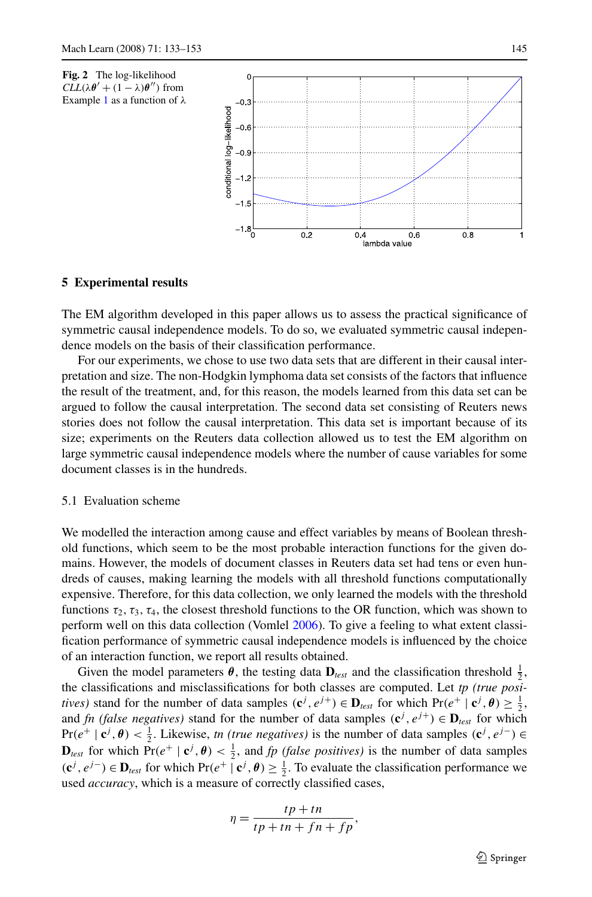<span id="page-12-0"></span>

## **5 Experimental results**

The EM algorithm developed in this paper allows us to assess the practical significance of symmetric causal independence models. To do so, we evaluated symmetric causal independence models on the basis of their classification performance.

For our experiments, we chose to use two data sets that are different in their causal interpretation and size. The non-Hodgkin lymphoma data set consists of the factors that influence the result of the treatment, and, for this reason, the models learned from this data set can be argued to follow the causal interpretation. The second data set consisting of Reuters news stories does not follow the causal interpretation. This data set is important because of its size; experiments on the Reuters data collection allowed us to test the EM algorithm on large symmetric causal independence models where the number of cause variables for some document classes is in the hundreds.

## 5.1 Evaluation scheme

We modelled the interaction among cause and effect variables by means of Boolean threshold functions, which seem to be the most probable interaction functions for the given domains. However, the models of document classes in Reuters data set had tens or even hundreds of causes, making learning the models with all threshold functions computationally expensive. Therefore, for this data collection, we only learned the models with the threshold functions  $\tau_2$ ,  $\tau_3$ ,  $\tau_4$ , the closest threshold functions to the OR function, which was shown to perform well on this data collection (Vomlel [2006](#page-20-0)). To give a feeling to what extent classification performance of symmetric causal independence models is influenced by the choice of an interaction function, we report all results obtained.

Given the model parameters  $\theta$ , the testing data  $D_{test}$  and the classification threshold  $\frac{1}{2}$ , the classifications and misclassifications for both classes are computed. Let *tp (true positives)* stand for the number of data samples  $(\mathbf{c}^j, e^{j+}) \in \mathbf{D}_{test}$  for which  $\Pr(e^+ | \mathbf{c}^j, \theta) \ge \frac{1}{2}$ , and *fn (false negatives)* stand for the number of data samples  $(c^j, e^{j+}) \in D_{test}$  for which  $Pr(e^+ | \mathbf{c}^j, \theta) < \frac{1}{2}$ . Likewise, *tn (true negatives)* is the number of data samples  $(\mathbf{c}^j, e^{j-}) \in$ **D**<sub>*test*</sub> for which  $Pr(e^+ | e^j, \theta) < \frac{1}{2}$ , and *fp (false positives)* is the number of data samples  $($ **c**<sup>*j*</sup>  $, e^{j-}$  $)$  ∈ **D**<sub>*test*</sub> for which Pr( $e^+$  | **c**<sup>*j*</sup>  $, \theta$ ) ≥  $\frac{1}{2}$ . To evaluate the classification performance we used *accuracy*, which is a measure of correctly classified cases,

$$
\eta = \frac{tp + tn}{tp + tn + fn + fp},
$$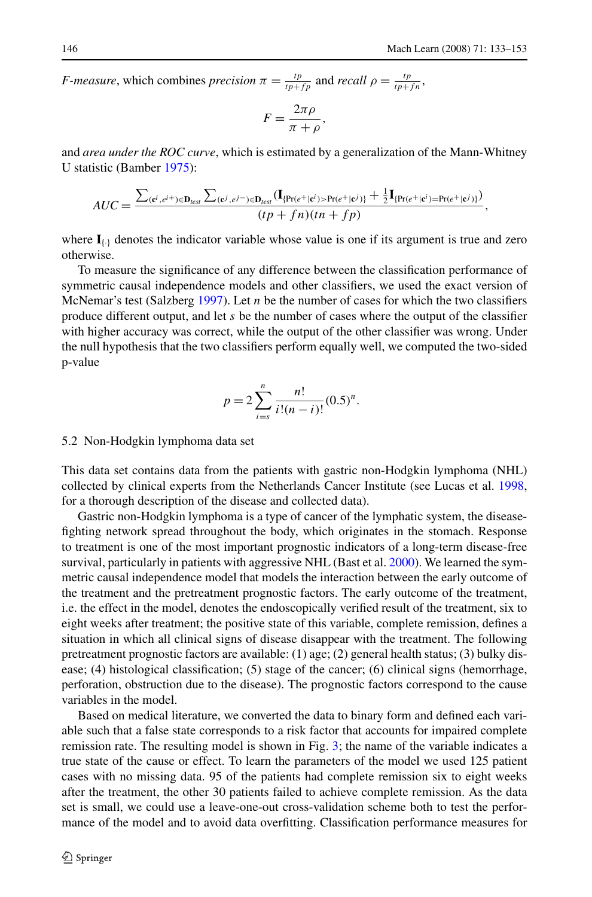*F*-measure, which combines *precision*  $\pi = \frac{tp}{tp+fp}$  and *recall*  $\rho = \frac{tp}{tp+fn}$ ,

$$
F = \frac{2\pi\rho}{\pi + \rho},
$$

and *area under the ROC curve*, which is estimated by a generalization of the Mann-Whitney U statistic (Bamber [1975\)](#page-19-0):

$$
AUC = \frac{\sum_{(e^i, e^{i+}) \in \mathbf{D}_{test}} \sum_{(e^j, e^{j-}) \in \mathbf{D}_{test}} (\mathbf{I}_{\{Pr(e^+|e^j) > Pr(e^+|e^j)\}} + \frac{1}{2} \mathbf{I}_{\{Pr(e^+|e^j) = Pr(e^+|e^j)\}})}{(tp + fn)(tn + fp)},
$$

where  $I_{\{i\}}$  denotes the indicator variable whose value is one if its argument is true and zero otherwise.

To measure the significance of any difference between the classification performance of symmetric causal independence models and other classifiers, we used the exact version of McNemar's test (Salzberg [1997\)](#page-20-0). Let *n* be the number of cases for which the two classifiers produce different output, and let *s* be the number of cases where the output of the classifier with higher accuracy was correct, while the output of the other classifier was wrong. Under the null hypothesis that the two classifiers perform equally well, we computed the two-sided p-value

$$
p = 2\sum_{i=s}^{n} \frac{n!}{i!(n-i)!} (0.5)^n.
$$

#### 5.2 Non-Hodgkin lymphoma data set

This data set contains data from the patients with gastric non-Hodgkin lymphoma (NHL) collected by clinical experts from the Netherlands Cancer Institute (see Lucas et al. [1998](#page-19-0), for a thorough description of the disease and collected data).

Gastric non-Hodgkin lymphoma is a type of cancer of the lymphatic system, the diseasefighting network spread throughout the body, which originates in the stomach. Response to treatment is one of the most important prognostic indicators of a long-term disease-free survival, particularly in patients with aggressive NHL (Bast et al. [2000\)](#page-19-0). We learned the symmetric causal independence model that models the interaction between the early outcome of the treatment and the pretreatment prognostic factors. The early outcome of the treatment, i.e. the effect in the model, denotes the endoscopically verified result of the treatment, six to eight weeks after treatment; the positive state of this variable, complete remission, defines a situation in which all clinical signs of disease disappear with the treatment. The following pretreatment prognostic factors are available: (1) age; (2) general health status; (3) bulky disease; (4) histological classification; (5) stage of the cancer; (6) clinical signs (hemorrhage, perforation, obstruction due to the disease). The prognostic factors correspond to the cause variables in the model.

Based on medical literature, we converted the data to binary form and defined each variable such that a false state corresponds to a risk factor that accounts for impaired complete remission rate. The resulting model is shown in Fig. [3](#page-14-0); the name of the variable indicates a true state of the cause or effect. To learn the parameters of the model we used 125 patient cases with no missing data. 95 of the patients had complete remission six to eight weeks after the treatment, the other 30 patients failed to achieve complete remission. As the data set is small, we could use a leave-one-out cross-validation scheme both to test the performance of the model and to avoid data overfitting. Classification performance measures for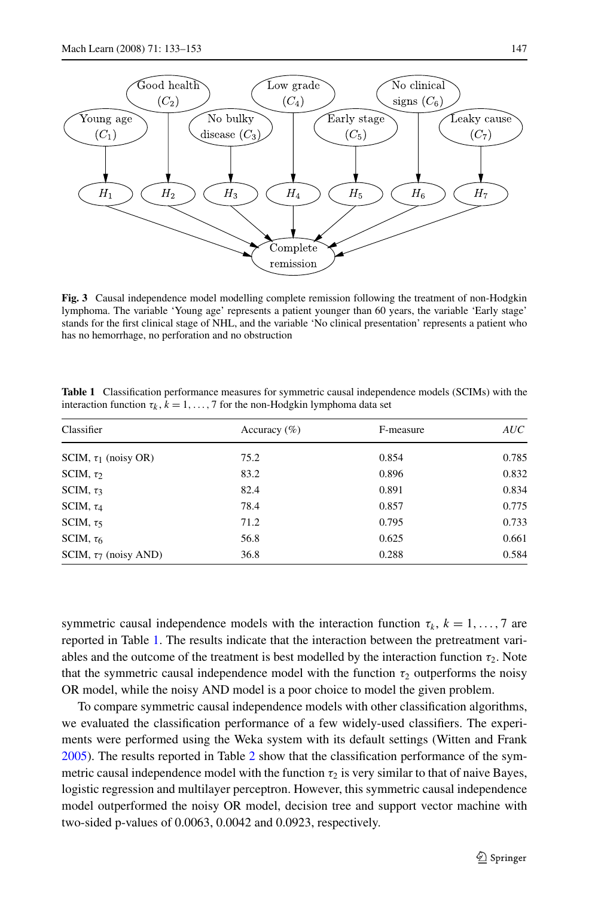<span id="page-14-0"></span>

**Fig. 3** Causal independence model modelling complete remission following the treatment of non-Hodgkin lymphoma. The variable 'Young age' represents a patient younger than 60 years, the variable 'Early stage' stands for the first clinical stage of NHL, and the variable 'No clinical presentation' represents a patient who has no hemorrhage, no perforation and no obstruction

| Classifier                 | Accuracy $(\% )$ | F-measure | AUC   |
|----------------------------|------------------|-----------|-------|
| SCIM, $\tau_1$ (noisy OR)  | 75.2             | 0.854     | 0.785 |
| SCIM, $\tau_2$             | 83.2             | 0.896     | 0.832 |
| SCIM, $\tau_3$             | 82.4             | 0.891     | 0.834 |
| SCIM, $\tau_4$             | 78.4             | 0.857     | 0.775 |
| SCIM, $\tau$ <sub>5</sub>  | 71.2             | 0.795     | 0.733 |
| SCIM, $\tau_6$             | 56.8             | 0.625     | 0.661 |
| SCIM, $\tau_7$ (noisy AND) | 36.8             | 0.288     | 0.584 |

**Table 1** Classification performance measures for symmetric causal independence models (SCIMs) with the interaction function  $\tau_k$ ,  $k = 1, \ldots, 7$  for the non-Hodgkin lymphoma data set

symmetric causal independence models with the interaction function  $\tau_k$ ,  $k = 1, \ldots, 7$  are reported in Table 1. The results indicate that the interaction between the pretreatment variables and the outcome of the treatment is best modelled by the interaction function  $\tau_2$ . Note that the symmetric causal independence model with the function  $\tau_2$  outperforms the noisy OR model, while the noisy AND model is a poor choice to model the given problem.

To compare symmetric causal independence models with other classification algorithms, we evaluated the classification performance of a few widely-used classifiers. The experiments were performed using the Weka system with its default settings (Witten and Frank [2005\)](#page-20-0). The results reported in Table [2](#page-15-0) show that the classification performance of the symmetric causal independence model with the function  $\tau_2$  is very similar to that of naive Bayes, logistic regression and multilayer perceptron. However, this symmetric causal independence model outperformed the noisy OR model, decision tree and support vector machine with two-sided p-values of 0.0063, 0.0042 and 0.0923, respectively.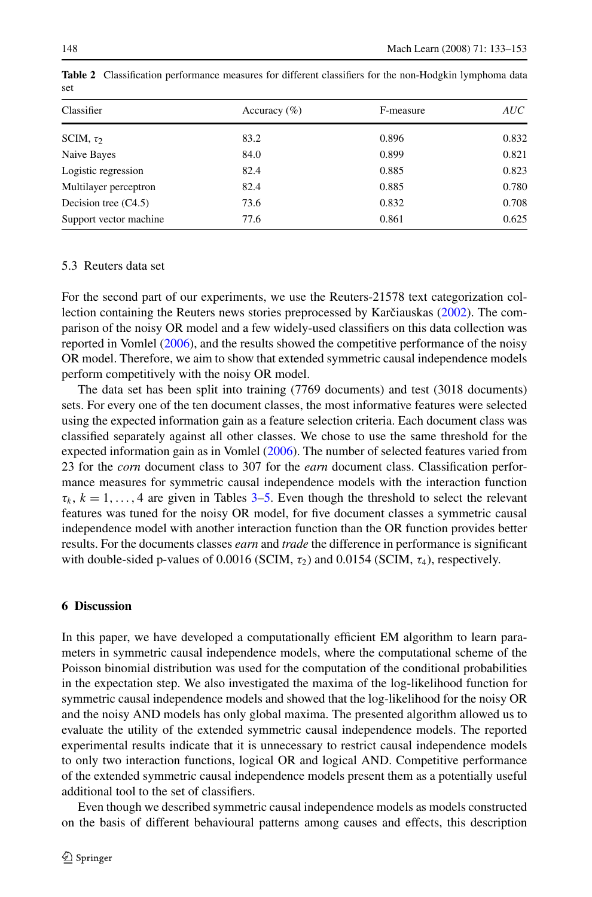| Accuracy $(\% )$ | F-measure | AUC   |  |
|------------------|-----------|-------|--|
| 83.2             | 0.896     | 0.832 |  |
| 84.0             | 0.899     | 0.821 |  |
| 82.4             | 0.885     | 0.823 |  |
| 82.4             | 0.885     | 0.780 |  |
| 73.6             | 0.832     | 0.708 |  |
| 77.6             | 0.861     | 0.625 |  |
|                  |           |       |  |

<span id="page-15-0"></span>Table 2 Classification performance measures for different classifiers for the non-Hodgkin lymphoma data set

## 5.3 Reuters data set

For the second part of our experiments, we use the Reuters-21578 text categorization col-lection containing the Reuters news stories preprocessed by Karčiauskas ([2002\)](#page-19-0). The comparison of the noisy OR model and a few widely-used classifiers on this data collection was reported in Vomlel ([2006\)](#page-20-0), and the results showed the competitive performance of the noisy OR model. Therefore, we aim to show that extended symmetric causal independence models perform competitively with the noisy OR model.

The data set has been split into training (7769 documents) and test (3018 documents) sets. For every one of the ten document classes, the most informative features were selected using the expected information gain as a feature selection criteria. Each document class was classified separately against all other classes. We chose to use the same threshold for the expected information gain as in Vomlel ([2006](#page-20-0)). The number of selected features varied from 23 for the *corn* document class to 307 for the *earn* document class. Classification performance measures for symmetric causal independence models with the interaction function  $\tau_k$ ,  $k = 1, \ldots, 4$  are given in Tables [3](#page-16-0)[–5.](#page-17-0) Even though the threshold to select the relevant features was tuned for the noisy OR model, for five document classes a symmetric causal independence model with another interaction function than the OR function provides better results. For the documents classes *earn* and *trade* the difference in performance is significant with double-sided p-values of 0.0016 (SCIM, *τ*2) and 0.0154 (SCIM, *τ*4), respectively.

## **6 Discussion**

In this paper, we have developed a computationally efficient EM algorithm to learn parameters in symmetric causal independence models, where the computational scheme of the Poisson binomial distribution was used for the computation of the conditional probabilities in the expectation step. We also investigated the maxima of the log-likelihood function for symmetric causal independence models and showed that the log-likelihood for the noisy OR and the noisy AND models has only global maxima. The presented algorithm allowed us to evaluate the utility of the extended symmetric causal independence models. The reported experimental results indicate that it is unnecessary to restrict causal independence models to only two interaction functions, logical OR and logical AND. Competitive performance of the extended symmetric causal independence models present them as a potentially useful additional tool to the set of classifiers.

Even though we described symmetric causal independence models as models constructed on the basis of different behavioural patterns among causes and effects, this description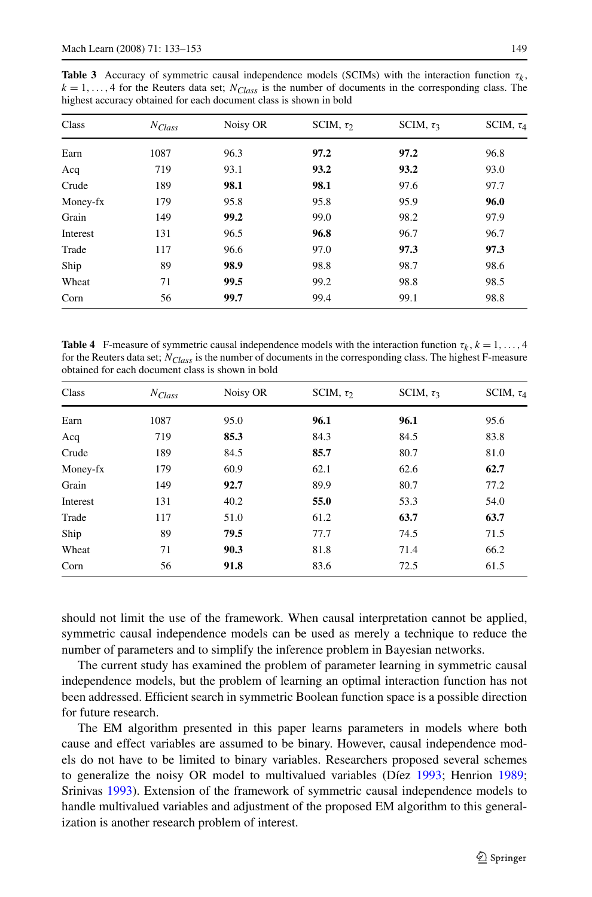| Class    | $N_{Class}$ | Noisy OR | SCIM, $\tau_2$ | SCIM, $\tau_3$ | SCIM, $\tau_4$ |
|----------|-------------|----------|----------------|----------------|----------------|
| Earn     | 1087        | 96.3     | 97.2           | 97.2           | 96.8           |
| Acq      | 719         | 93.1     | 93.2           | 93.2           | 93.0           |
| Crude    | 189         | 98.1     | 98.1           | 97.6           | 97.7           |
| Money-fx | 179         | 95.8     | 95.8           | 95.9           | 96.0           |
| Grain    | 149         | 99.2     | 99.0           | 98.2           | 97.9           |
| Interest | 131         | 96.5     | 96.8           | 96.7           | 96.7           |
| Trade    | 117         | 96.6     | 97.0           | 97.3           | 97.3           |
| Ship     | 89          | 98.9     | 98.8           | 98.7           | 98.6           |
| Wheat    | 71          | 99.5     | 99.2           | 98.8           | 98.5           |
| Corn     | 56          | 99.7     | 99.4           | 99.1           | 98.8           |

<span id="page-16-0"></span>**Table 3** Accuracy of symmetric causal independence models (SCIMs) with the interaction function  $\tau_k$ ,  $k = 1, \ldots, 4$  for the Reuters data set;  $N_{Class}$  is the number of documents in the corresponding class. The highest accuracy obtained for each document class is shown in bold

**Table 4** F-measure of symmetric causal independence models with the interaction function  $\tau_k$ ,  $k = 1, \ldots, 4$ for the Reuters data set; *NClass* is the number of documents in the corresponding class. The highest F-measure obtained for each document class is shown in bold

| Class    | $N_{Class}$ | Noisy OR | SCIM, $\tau_2$ | SCIM, $\tau_3$ | SCIM, $\tau_4$ |
|----------|-------------|----------|----------------|----------------|----------------|
| Earn     | 1087        | 95.0     | 96.1           | 96.1           | 95.6           |
| Acq      | 719         | 85.3     | 84.3           | 84.5           | 83.8           |
| Crude    | 189         | 84.5     | 85.7           | 80.7           | 81.0           |
| Money-fx | 179         | 60.9     | 62.1           | 62.6           | 62.7           |
| Grain    | 149         | 92.7     | 89.9           | 80.7           | 77.2           |
| Interest | 131         | 40.2     | 55.0           | 53.3           | 54.0           |
| Trade    | 117         | 51.0     | 61.2           | 63.7           | 63.7           |
| Ship     | 89          | 79.5     | 77.7           | 74.5           | 71.5           |
| Wheat    | 71          | 90.3     | 81.8           | 71.4           | 66.2           |
| Corn     | 56          | 91.8     | 83.6           | 72.5           | 61.5           |

should not limit the use of the framework. When causal interpretation cannot be applied, symmetric causal independence models can be used as merely a technique to reduce the number of parameters and to simplify the inference problem in Bayesian networks.

The current study has examined the problem of parameter learning in symmetric causal independence models, but the problem of learning an optimal interaction function has not been addressed. Efficient search in symmetric Boolean function space is a possible direction for future research.

The EM algorithm presented in this paper learns parameters in models where both cause and effect variables are assumed to be binary. However, causal independence models do not have to be limited to binary variables. Researchers proposed several schemes to generalize the noisy OR model to multivalued variables (Díez [1993](#page-19-0); Henrion [1989;](#page-19-0) Srinivas [1993](#page-20-0)). Extension of the framework of symmetric causal independence models to handle multivalued variables and adjustment of the proposed EM algorithm to this generalization is another research problem of interest.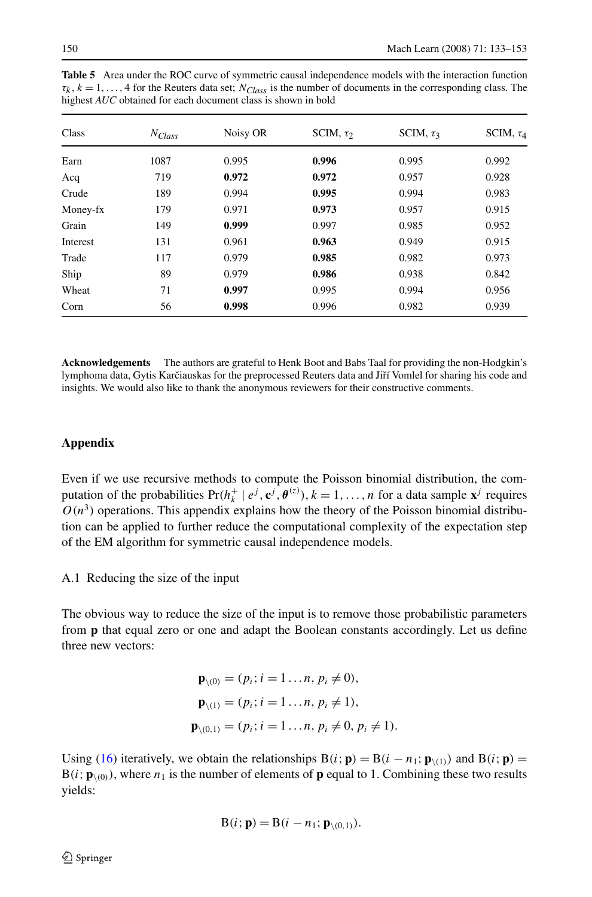| Class    | $N_{Class}$ | Noisy OR | SCIM, $\tau_2$ | SCIM, $\tau_3$ | SCIM, $\tau_4$ |
|----------|-------------|----------|----------------|----------------|----------------|
| Earn     | 1087        | 0.995    | 0.996          | 0.995          | 0.992          |
| Acq      | 719         | 0.972    | 0.972          | 0.957          | 0.928          |
| Crude    | 189         | 0.994    | 0.995          | 0.994          | 0.983          |
| Money-fx | 179         | 0.971    | 0.973          | 0.957          | 0.915          |
| Grain    | 149         | 0.999    | 0.997          | 0.985          | 0.952          |
| Interest | 131         | 0.961    | 0.963          | 0.949          | 0.915          |
| Trade    | 117         | 0.979    | 0.985          | 0.982          | 0.973          |
| Ship     | 89          | 0.979    | 0.986          | 0.938          | 0.842          |
| Wheat    | 71          | 0.997    | 0.995          | 0.994          | 0.956          |
| Corn     | 56          | 0.998    | 0.996          | 0.982          | 0.939          |

<span id="page-17-0"></span>**Table 5** Area under the ROC curve of symmetric causal independence models with the interaction function *τk* , *k* = 1*,...,* 4 for the Reuters data set; *NClass* is the number of documents in the corresponding class. The highest *AUC* obtained for each document class is shown in bold

**Acknowledgements** The authors are grateful to Henk Boot and Babs Taal for providing the non-Hodgkin's lymphoma data, Gytis Karčiauskas for the preprocessed Reuters data and Jiří Vomlel for sharing his code and insights. We would also like to thank the anonymous reviewers for their constructive comments.

## **Appendix**

Even if we use recursive methods to compute the Poisson binomial distribution, the computation of the probabilities  $Pr(h_k^+ | e^j, \mathbf{c}^j, \theta^{(z)})$ ,  $k = 1, ..., n$  for a data sample  $\mathbf{x}^j$  requires  $O(n^3)$  operations. This appendix explains how the theory of the Poisson binomial distribution can be applied to further reduce the computational complexity of the expectation step of the EM algorithm for symmetric causal independence models.

A.1 Reducing the size of the input

The obvious way to reduce the size of the input is to remove those probabilistic parameters from **p** that equal zero or one and adapt the Boolean constants accordingly. Let us define three new vectors:

$$
\mathbf{p}_{\setminus(0)} = (p_i; i = 1 \dots n, p_i \neq 0),
$$
  
\n
$$
\mathbf{p}_{\setminus(1)} = (p_i; i = 1 \dots n, p_i \neq 1),
$$
  
\n
$$
\mathbf{p}_{\setminus(0,1)} = (p_i; i = 1 \dots n, p_i \neq 0, p_i \neq 1).
$$

Using [\(16\)](#page-8-0) iteratively, we obtain the relationships  $B(i; \mathbf{p}) = B(i - n_1; \mathbf{p}_{\setminus(1)})$  and  $B(i; \mathbf{p}) =$  $B(i; \mathbf{p}_{\setminus(0)})$ , where  $n_1$  is the number of elements of **p** equal to 1. Combining these two results yields:

$$
B(i; \mathbf{p}) = B(i - n_1; \mathbf{p}_{\setminus (0,1)}).
$$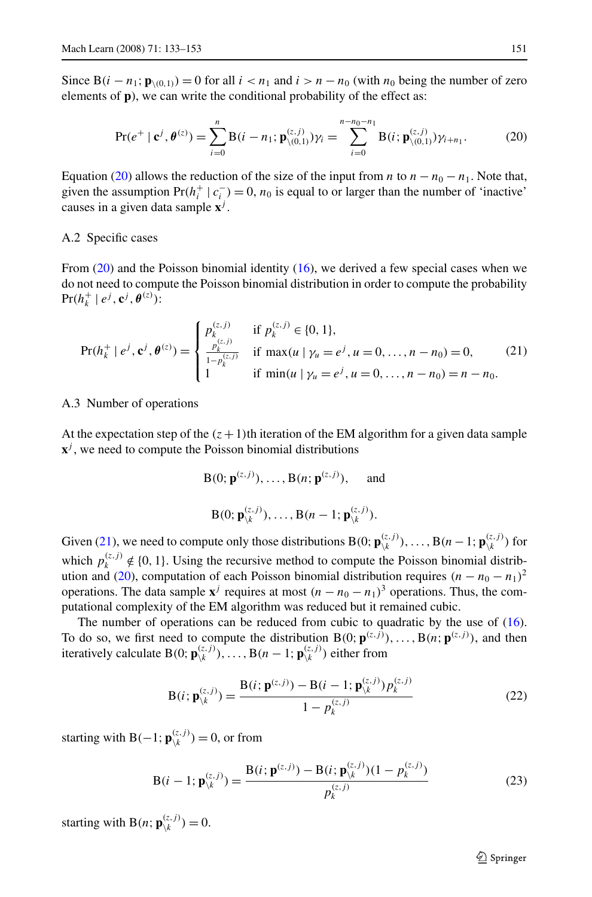<span id="page-18-0"></span>Since  $B(i - n_1; \mathbf{p}_{(0,1)}) = 0$  for all  $i < n_1$  and  $i > n - n_0$  (with  $n_0$  being the number of zero elements of **p**), we can write the conditional probability of the effect as:

$$
\Pr(e^+ \mid \mathbf{c}^j, \boldsymbol{\theta}^{(z)}) = \sum_{i=0}^n \mathbf{B}(i - n_1; \mathbf{p}_{\backslash (0,1)}^{(z,j)}) \gamma_i = \sum_{i=0}^{n-n_0 - n_1} \mathbf{B}(i; \mathbf{p}_{\backslash (0,1)}^{(z,j)}) \gamma_{i+n_1}.
$$
 (20)

Equation (20) allows the reduction of the size of the input from *n* to  $n - n_0 - n_1$ . Note that, given the assumption  $Pr(h_i^+ | c_i^-) = 0$ ,  $n_0$  is equal to or larger than the number of 'inactive' causes in a given data sample  $\mathbf{x}^j$ .

## A.2 Specific cases

From  $(20)$  and the Poisson binomial identity  $(16)$  $(16)$  $(16)$ , we derived a few special cases when we do not need to compute the Poisson binomial distribution in order to compute the probability  $Pr(h_k^+ | e^j, \mathbf{c}^j, \boldsymbol{\theta}^{(z)})$ :

$$
\Pr(h_k^+ \mid e^j, \mathbf{c}^j, \theta^{(z)}) = \begin{cases} p_k^{(z,j)} & \text{if } p_k^{(z,j)} \in \{0, 1\}, \\ \frac{p_k^{(z,j)}}{1 - p_k^{(z,j)}} & \text{if } \max(u \mid \gamma_u = e^j, u = 0, \dots, n - n_0) = 0, \\ 1 & \text{if } \min(u \mid \gamma_u = e^j, u = 0, \dots, n - n_0) = n - n_0. \end{cases} \tag{21}
$$

## A.3 Number of operations

At the expectation step of the  $(z + 1)$ th iteration of the EM algorithm for a given data sample  $\mathbf{x}^j$ , we need to compute the Poisson binomial distributions

B(0; 
$$
\mathbf{p}^{(z,j)}
$$
), ..., B(*n*;  $\mathbf{p}^{(z,j)}$ ), and  
B(0;  $\mathbf{p}_{\backslash k}^{(z,j)}$ ), ..., B(*n* - 1;  $\mathbf{p}_{\backslash k}^{(z,j)}$ ).

Given (21), we need to compute only those distributions B(0;  $\mathbf{p}_{\setminus k}^{(z,j)}$ ),..., B(n – 1;  $\mathbf{p}_{\setminus k}^{(z,j)}$ ) for which  $p_k^{(z,j)} \notin \{0, 1\}$ . Using the recursive method to compute the Poisson binomial distribution and (20), computation of each Poisson binomial distribution requires  $(n - n_0 - n_1)^2$ operations. The data sample  $\mathbf{x}^j$  requires at most  $(n - n_0 - n_1)^3$  operations. Thus, the computational complexity of the EM algorithm was reduced but it remained cubic.

The number of operations can be reduced from cubic to quadratic by the use of  $(16)$  $(16)$  $(16)$ . To do so, we first need to compute the distribution  $B(0; \mathbf{p}^{(z,j)}), \ldots, B(n; \mathbf{p}^{(z,j)})$ , and then iteratively calculate B(0;  $\mathbf{p}_{\setminus k}^{(z,j)}$ ),...,B $(n-1; \mathbf{p}_{\setminus k}^{(z,j)})$  either from

$$
B(i; \mathbf{p}_{\backslash k}^{(z,j)}) = \frac{B(i; \mathbf{p}^{(z,j)}) - B(i-1; \mathbf{p}_{\backslash k}^{(z,j)}) p_k^{(z,j)}}{1 - p_k^{(z,j)}}
$$
(22)

starting with B( $-1$ ;  $\mathbf{p}_{\setminus k}^{(z,j)}$ ) = 0, or from

$$
B(i - 1; \mathbf{p}_{\backslash k}^{(z,j)}) = \frac{B(i; \mathbf{p}^{(z,j)}) - B(i; \mathbf{p}_{\backslash k}^{(z,j)})(1 - p_k^{(z,j)})}{p_k^{(z,j)}}
$$
(23)

starting with  $B(n; \mathbf{p}_{\setminus k}^{(z,j)}) = 0.$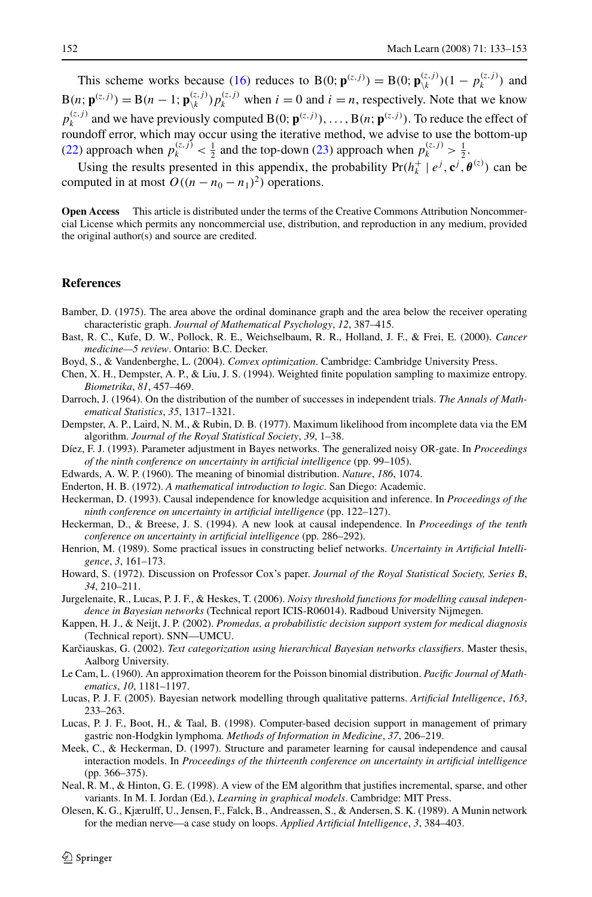<span id="page-19-0"></span>This scheme works because ([16\)](#page-8-0) reduces to B(0;  $\mathbf{p}^{(z,j)} = B(0; \mathbf{p}_{k}^{(z,j)})(1 - p_{k}^{(z,j)})$  and  $B(n; \mathbf{p}^{(z,j)}) = B(n-1; \mathbf{p}_{\backslash k}^{(z,j)}) p_k^{(z,j)}$  when  $i = 0$  and  $i = n$ , respectively. Note that we know  $p_k^{(z,j)}$  and we have previously computed B(0;  $\mathbf{p}^{(z,j)}$ ),...,B $(n; \mathbf{p}^{(z,j)})$ . To reduce the effect of roundoff error, which may occur using the iterative method, we advise to use the bottom-up ([22](#page-18-0)) approach when  $p_k^{(z,j)} < \frac{1}{2}$  and the top-down ([23](#page-18-0)) approach when  $p_k^{(z,j)} > \frac{1}{2}$ .

Using the results presented in this appendix, the probability  $Pr(h_k^+ | e^j, e^j, \theta^{(z)})$  can be computed in at most  $O((n - n_0 - n_1)^2)$  operations.

**Open Access** This article is distributed under the terms of the Creative Commons Attribution Noncommercial License which permits any noncommercial use, distribution, and reproduction in any medium, provided the original author(s) and source are credited.

#### **References**

- Bamber, D. (1975). The area above the ordinal dominance graph and the area below the receiver operating characteristic graph. *Journal of Mathematical Psychology*, *12*, 387–415.
- Bast, R. C., Kufe, D. W., Pollock, R. E., Weichselbaum, R. R., Holland, J. F., & Frei, E. (2000). *Cancer medicine—5 review*. Ontario: B.C. Decker.
- Boyd, S., & Vandenberghe, L. (2004). *Convex optimization*. Cambridge: Cambridge University Press.

Chen, X. H., Dempster, A. P., & Liu, J. S. (1994). Weighted finite population sampling to maximize entropy. *Biometrika*, *81*, 457–469.

Darroch, J. (1964). On the distribution of the number of successes in independent trials. *The Annals of Mathematical Statistics*, *35*, 1317–1321.

Dempster, A. P., Laird, N. M., & Rubin, D. B. (1977). Maximum likelihood from incomplete data via the EM algorithm. *Journal of the Royal Statistical Society*, *39*, 1–38.

Díez, F. J. (1993). Parameter adjustment in Bayes networks. The generalized noisy OR-gate. In *Proceedings of the ninth conference on uncertainty in artificial intelligence* (pp. 99–105).

Edwards, A. W. P. (1960). The meaning of binomial distribution. *Nature*, *186*, 1074.

Enderton, H. B. (1972). *A mathematical introduction to logic*. San Diego: Academic.

- Heckerman, D. (1993). Causal independence for knowledge acquisition and inference. In *Proceedings of the ninth conference on uncertainty in artificial intelligence* (pp. 122–127).
- Heckerman, D., & Breese, J. S. (1994). A new look at causal independence. In *Proceedings of the tenth conference on uncertainty in artificial intelligence* (pp. 286–292).
- Henrion, M. (1989). Some practical issues in constructing belief networks. *Uncertainty in Artificial Intelligence*, *3*, 161–173.
- Howard, S. (1972). Discussion on Professor Cox's paper. *Journal of the Royal Statistical Society, Series B*, *34*, 210–211.
- Jurgelenaite, R., Lucas, P. J. F., & Heskes, T. (2006). *Noisy threshold functions for modelling causal independence in Bayesian networks* (Technical report ICIS-R06014). Radboud University Nijmegen.
- Kappen, H. J., & Neijt, J. P. (2002). *Promedas, a probabilistic decision support system for medical diagnosis* (Technical report). SNN—UMCU.
- Karčiauskas, G. (2002). Text categorization using hierarchical Bayesian networks classifiers. Master thesis, Aalborg University.
- Le Cam, L. (1960). An approximation theorem for the Poisson binomial distribution. *Pacific Journal of Mathematics*, *10*, 1181–1197.
- Lucas, P. J. F. (2005). Bayesian network modelling through qualitative patterns. *Artificial Intelligence*, *163*, 233–263.
- Lucas, P. J. F., Boot, H., & Taal, B. (1998). Computer-based decision support in management of primary gastric non-Hodgkin lymphoma. *Methods of Information in Medicine*, *37*, 206–219.
- Meek, C., & Heckerman, D. (1997). Structure and parameter learning for causal independence and causal interaction models. In *Proceedings of the thirteenth conference on uncertainty in artificial intelligence* (pp. 366–375).
- Neal, R. M., & Hinton, G. E. (1998). A view of the EM algorithm that justifies incremental, sparse, and other variants. In M. I. Jordan (Ed.), *Learning in graphical models*. Cambridge: MIT Press.
- Olesen, K. G., Kjærulff, U., Jensen, F., Falck, B., Andreassen, S., & Andersen, S. K. (1989). A Munin network for the median nerve—a case study on loops. *Applied Artificial Intelligence*, *3*, 384–403.